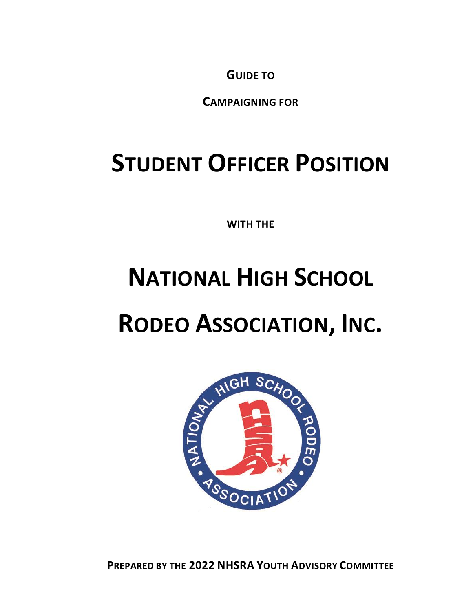**GUIDE TO**

**CAMPAIGNING FOR**

# **STUDENT OFFICER POSITION**

**WITH THE**

# **NATIONAL HIGH SCHOOL**

# **RODEO ASSOCIATION, INC.**



**PREPARED BY THE 2022 NHSRA YOUTH ADVISORY COMMITTEE**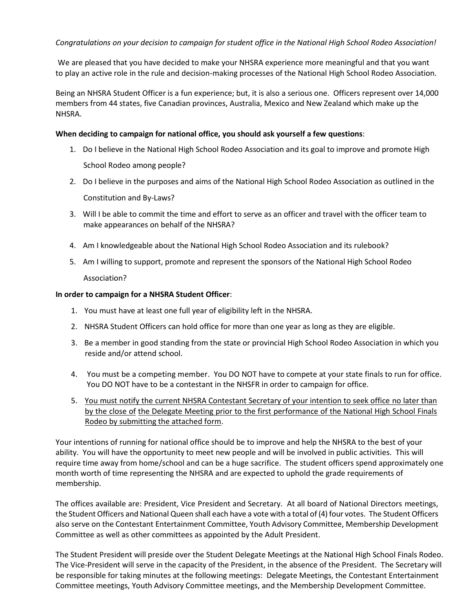We are pleased that you have decided to make your NHSRA experience more meaningful and that you want to play an active role in the rule and decision-making processes of the National High School Rodeo Association.

Being an NHSRA Student Officer is a fun experience; but, it is also a serious one. Officers represent over 14,000 members from 44 states, five Canadian provinces, Australia, Mexico and New Zealand which make up the NHSRA.

#### **When deciding to campaign for national office, you should ask yourself a few questions**:

- 1. Do I believe in the National High School Rodeo Association and its goal to improve and promote High School Rodeo among people?
- 2. Do I believe in the purposes and aims of the National High School Rodeo Association as outlined in the Constitution and By-Laws?
- 3. Will I be able to commit the time and effort to serve as an officer and travel with the officer team to make appearances on behalf of the NHSRA?
- 4. Am I knowledgeable about the National High School Rodeo Association and its rulebook?
- 5. Am I willing to support, promote and represent the sponsors of the National High School Rodeo

#### Association?

#### **In order to campaign for a NHSRA Student Officer**:

- 1. You must have at least one full year of eligibility left in the NHSRA.
- 2. NHSRA Student Officers can hold office for more than one year as long as they are eligible.
- 3. Be a member in good standing from the state or provincial High School Rodeo Association in which you reside and/or attend school.
- 4. You must be a competing member. You DO NOT have to compete at your state finals to run for office. You DO NOT have to be a contestant in the NHSFR in order to campaign for office.
- 5. You must notify the current NHSRA Contestant Secretary of your intention to seek office no later than by the close of the Delegate Meeting prior to the first performance of the National High School Finals Rodeo by submitting the attached form.

Your intentions of running for national office should be to improve and help the NHSRA to the best of your ability. You will have the opportunity to meet new people and will be involved in public activities. This will require time away from home/school and can be a huge sacrifice. The student officers spend approximately one month worth of time representing the NHSRA and are expected to uphold the grade requirements of membership.

The offices available are: President, Vice President and Secretary. At all board of National Directors meetings, the Student Officers and National Queen shall each have a vote with a total of (4) four votes. The Student Officers also serve on the Contestant Entertainment Committee, Youth Advisory Committee, Membership Development Committee as well as other committees as appointed by the Adult President.

The Student President will preside over the Student Delegate Meetings at the National High School Finals Rodeo. The Vice-President will serve in the capacity of the President, in the absence of the President. The Secretary will be responsible for taking minutes at the following meetings: Delegate Meetings, the Contestant Entertainment Committee meetings, Youth Advisory Committee meetings, and the Membership Development Committee.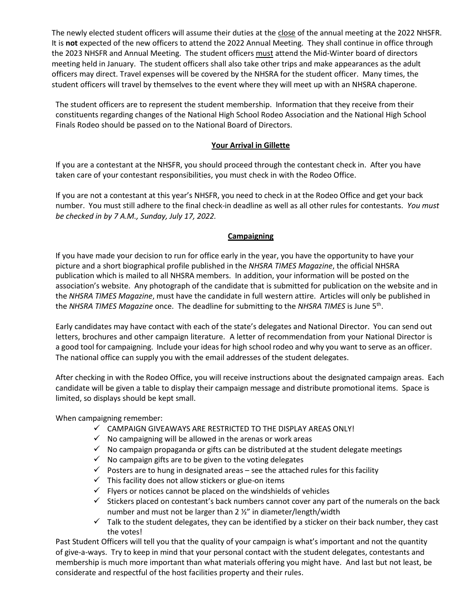The newly elected student officers will assume their duties at the close of the annual meeting at the 2022 NHSFR. It is **not** expected of the new officers to attend the 2022 Annual Meeting. They shall continue in office through the 2023 NHSFR and Annual Meeting. The student officers must attend the Mid-Winter board of directors meeting held in January. The student officers shall also take other trips and make appearances as the adult officers may direct. Travel expenses will be covered by the NHSRA for the student officer. Many times, the student officers will travel by themselves to the event where they will meet up with an NHSRA chaperone.

The student officers are to represent the student membership. Information that they receive from their constituents regarding changes of the National High School Rodeo Association and the National High School Finals Rodeo should be passed on to the National Board of Directors.

### **Your Arrival in Gillette**

If you are a contestant at the NHSFR, you should proceed through the contestant check in. After you have taken care of your contestant responsibilities, you must check in with the Rodeo Office.

If you are not a contestant at this year's NHSFR, you need to check in at the Rodeo Office and get your back number. You must still adhere to the final check-in deadline as well as all other rules for contestants. *You must be checked in by 7 A.M., Sunday, July 17, 2022.*

### **Campaigning**

If you have made your decision to run for office early in the year, you have the opportunity to have your picture and a short biographical profile published in the *NHSRA TIMES Magazine*, the official NHSRA publication which is mailed to all NHSRA members. In addition, your information will be posted on the association's website. Any photograph of the candidate that is submitted for publication on the website and in the *NHSRA TIMES Magazine*, must have the candidate in full western attire. Articles will only be published in the *NHSRA TIMES Magazine* once. The deadline for submitting to the *NHSRA TIMES* is June 5th .

Early candidates may have contact with each of the state's delegates and National Director. You can send out letters, brochures and other campaign literature. A letter of recommendation from your National Director is a good tool for campaigning. Include your ideas for high school rodeo and why you want to serve as an officer. The national office can supply you with the email addresses of the student delegates.

After checking in with the Rodeo Office, you will receive instructions about the designated campaign areas. Each candidate will be given a table to display their campaign message and distribute promotional items. Space is limited, so displays should be kept small.

When campaigning remember:

- $\checkmark$  CAMPAIGN GIVEAWAYS ARE RESTRICTED TO THE DISPLAY AREAS ONLY!
- $\checkmark$  No campaigning will be allowed in the arenas or work areas
- $\checkmark$  No campaign propaganda or gifts can be distributed at the student delegate meetings
- $\checkmark$  No campaign gifts are to be given to the voting delegates
- $\checkmark$  Posters are to hung in designated areas see the attached rules for this facility
- $\checkmark$  This facility does not allow stickers or glue-on items
- $\checkmark$  Flyers or notices cannot be placed on the windshields of vehicles
- $\checkmark$  Stickers placed on contestant's back numbers cannot cover any part of the numerals on the back number and must not be larger than 2 ½" in diameter/length/width
- $\checkmark$  Talk to the student delegates, they can be identified by a sticker on their back number, they cast the votes!

Past Student Officers will tell you that the quality of your campaign is what's important and not the quantity of give-a-ways. Try to keep in mind that your personal contact with the student delegates, contestants and membership is much more important than what materials offering you might have. And last but not least, be considerate and respectful of the host facilities property and their rules.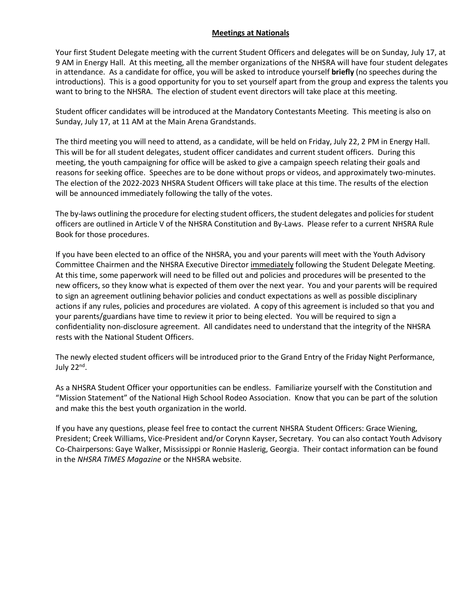#### **Meetings at Nationals**

Your first Student Delegate meeting with the current Student Officers and delegates will be on Sunday, July 17, at 9 AM in Energy Hall. At this meeting, all the member organizations of the NHSRA will have four student delegates in attendance. As a candidate for office, you will be asked to introduce yourself **briefly** (no speeches during the introductions). This is a good opportunity for you to set yourself apart from the group and express the talents you want to bring to the NHSRA. The election of student event directors will take place at this meeting.

Student officer candidates will be introduced at the Mandatory Contestants Meeting. This meeting is also on Sunday, July 17, at 11 AM at the Main Arena Grandstands.

The third meeting you will need to attend, as a candidate, will be held on Friday, July 22, 2 PM in Energy Hall. This will be for all student delegates, student officer candidates and current student officers. During this meeting, the youth campaigning for office will be asked to give a campaign speech relating their goals and reasons for seeking office. Speeches are to be done without props or videos, and approximately two-minutes. The election of the 2022-2023 NHSRA Student Officers will take place at this time. The results of the election will be announced immediately following the tally of the votes.

The by-laws outlining the procedure for electing student officers, the student delegates and policies for student officers are outlined in Article V of the NHSRA Constitution and By-Laws. Please refer to a current NHSRA Rule Book for those procedures.

If you have been elected to an office of the NHSRA, you and your parents will meet with the Youth Advisory Committee Chairmen and the NHSRA Executive Director immediately following the Student Delegate Meeting. At this time, some paperwork will need to be filled out and policies and procedures will be presented to the new officers, so they know what is expected of them over the next year. You and your parents will be required to sign an agreement outlining behavior policies and conduct expectations as well as possible disciplinary actions if any rules, policies and procedures are violated. A copy of this agreement is included so that you and your parents/guardians have time to review it prior to being elected. You will be required to sign a confidentiality non-disclosure agreement. All candidates need to understand that the integrity of the NHSRA rests with the National Student Officers.

The newly elected student officers will be introduced prior to the Grand Entry of the Friday Night Performance, July 22<sup>nd</sup>.

As a NHSRA Student Officer your opportunities can be endless. Familiarize yourself with the Constitution and "Mission Statement" of the National High School Rodeo Association. Know that you can be part of the solution and make this the best youth organization in the world.

If you have any questions, please feel free to contact the current NHSRA Student Officers: Grace Wiening, President; Creek Williams, Vice-President and/or Corynn Kayser, Secretary. You can also contact Youth Advisory Co-Chairpersons: Gaye Walker, Mississippi or Ronnie Haslerig, Georgia. Their contact information can be found in the *NHSRA TIMES Magazine* or the NHSRA website.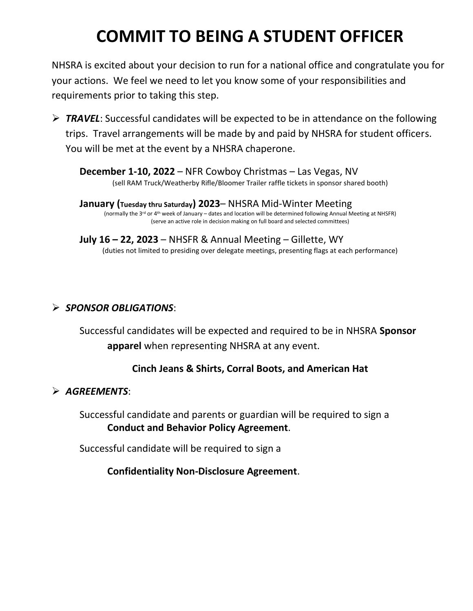# **COMMIT TO BEING A STUDENT OFFICER**

NHSRA is excited about your decision to run for a national office and congratulate you for your actions. We feel we need to let you know some of your responsibilities and requirements prior to taking this step.

➢ *TRAVEL*: Successful candidates will be expected to be in attendance on the following trips. Travel arrangements will be made by and paid by NHSRA for student officers. You will be met at the event by a NHSRA chaperone.

**December 1-10, 2022** – NFR Cowboy Christmas – Las Vegas, NV (sell RAM Truck/Weatherby Rifle/Bloomer Trailer raffle tickets in sponsor shared booth)

**January (Tuesday thru Saturday) 2023**– NHSRA Mid-Winter Meeting (normally the 3<sup>rd</sup> or 4<sup>th</sup> week of January – dates and location will be determined following Annual Meeting at NHSFR) (serve an active role in decision making on full board and selected committees)

**July 16 – 22, 2023** – NHSFR & Annual Meeting – Gillette, WY (duties not limited to presiding over delegate meetings, presenting flags at each performance)

## ➢ *SPONSOR OBLIGATIONS*:

Successful candidates will be expected and required to be in NHSRA **Sponsor apparel** when representing NHSRA at any event.

## **Cinch Jeans & Shirts, Corral Boots, and American Hat**

### ➢ *AGREEMENTS*:

Successful candidate and parents or guardian will be required to sign a **Conduct and Behavior Policy Agreement**.

Successful candidate will be required to sign a

**Confidentiality Non-Disclosure Agreement**.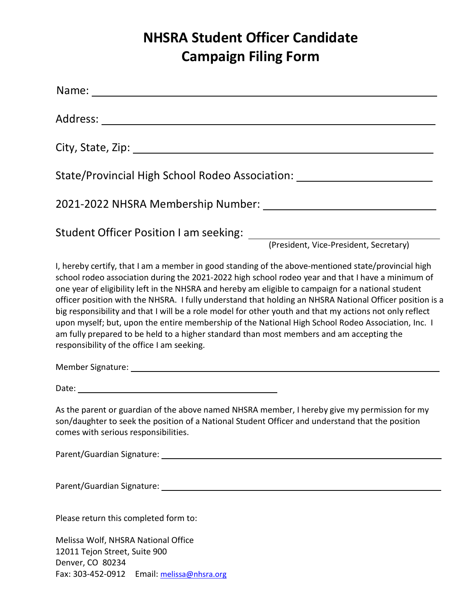# **NHSRA Student Officer Candidate Campaign Filing Form**

| Name: when the contract of the contract of the contract of the contract of the contract of the contract of the contract of the contract of the contract of the contract of the contract of the contract of the contract of the                                                                                                                                                                                                                                                                                                                                                                                                                                                                                                                                                         |
|----------------------------------------------------------------------------------------------------------------------------------------------------------------------------------------------------------------------------------------------------------------------------------------------------------------------------------------------------------------------------------------------------------------------------------------------------------------------------------------------------------------------------------------------------------------------------------------------------------------------------------------------------------------------------------------------------------------------------------------------------------------------------------------|
|                                                                                                                                                                                                                                                                                                                                                                                                                                                                                                                                                                                                                                                                                                                                                                                        |
|                                                                                                                                                                                                                                                                                                                                                                                                                                                                                                                                                                                                                                                                                                                                                                                        |
| State/Provincial High School Rodeo Association: ________________________________                                                                                                                                                                                                                                                                                                                                                                                                                                                                                                                                                                                                                                                                                                       |
|                                                                                                                                                                                                                                                                                                                                                                                                                                                                                                                                                                                                                                                                                                                                                                                        |
|                                                                                                                                                                                                                                                                                                                                                                                                                                                                                                                                                                                                                                                                                                                                                                                        |
| I, hereby certify, that I am a member in good standing of the above-mentioned state/provincial high<br>school rodeo association during the 2021-2022 high school rodeo year and that I have a minimum of<br>one year of eligibility left in the NHSRA and hereby am eligible to campaign for a national student<br>officer position with the NHSRA. I fully understand that holding an NHSRA National Officer position is a<br>big responsibility and that I will be a role model for other youth and that my actions not only reflect<br>upon myself; but, upon the entire membership of the National High School Rodeo Association, Inc. I<br>am fully prepared to be held to a higher standard than most members and am accepting the<br>responsibility of the office I am seeking. |
|                                                                                                                                                                                                                                                                                                                                                                                                                                                                                                                                                                                                                                                                                                                                                                                        |
|                                                                                                                                                                                                                                                                                                                                                                                                                                                                                                                                                                                                                                                                                                                                                                                        |
| As the parent or guardian of the above named NHSRA member, I hereby give my permission for my<br>son/daughter to seek the position of a National Student Officer and understand that the position<br>comes with serious responsibilities.                                                                                                                                                                                                                                                                                                                                                                                                                                                                                                                                              |
|                                                                                                                                                                                                                                                                                                                                                                                                                                                                                                                                                                                                                                                                                                                                                                                        |
|                                                                                                                                                                                                                                                                                                                                                                                                                                                                                                                                                                                                                                                                                                                                                                                        |
| Please return this completed form to:                                                                                                                                                                                                                                                                                                                                                                                                                                                                                                                                                                                                                                                                                                                                                  |
|                                                                                                                                                                                                                                                                                                                                                                                                                                                                                                                                                                                                                                                                                                                                                                                        |

Melissa Wolf, NHSRA National Office 12011 Tejon Street, Suite 900 Denver, CO 80234 Fax: 303-452-0912 Email: [melissa@nhsra.org](mailto:melissa@nhsra.org)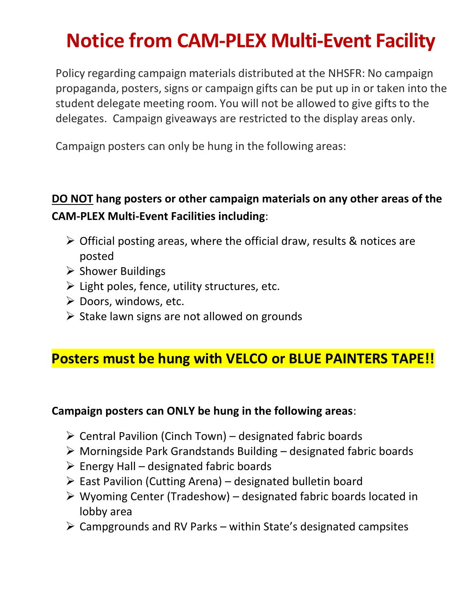# **Notice from CAM-PLEX Multi-Event Facility**

Policy regarding campaign materials distributed at the NHSFR: No campaign propaganda, posters, signs or campaign gifts can be put up in or taken into the student delegate meeting room. You will not be allowed to give gifts to the delegates. Campaign giveaways are restricted to the display areas only.

Campaign posters can only be hung in the following areas:

## **DO NOT hang posters or other campaign materials on any other areas of the CAM-PLEX Multi-Event Facilities including**:

- $\triangleright$  Official posting areas, where the official draw, results & notices are posted
- ➢ Shower Buildings
- ➢ Light poles, fence, utility structures, etc.
- ➢ Doors, windows, etc.
- ➢ Stake lawn signs are not allowed on grounds

# **Posters must be hung with VELCO or BLUE PAINTERS TAPE!!**

## **Campaign posters can ONLY be hung in the following areas**:

- $\triangleright$  Central Pavilion (Cinch Town) designated fabric boards
- ➢ Morningside Park Grandstands Building designated fabric boards
- $\triangleright$  Energy Hall designated fabric boards
- $\triangleright$  East Pavilion (Cutting Arena) designated bulletin board
- $\triangleright$  Wyoming Center (Tradeshow) designated fabric boards located in lobby area
- $\triangleright$  Campgrounds and RV Parks within State's designated campsites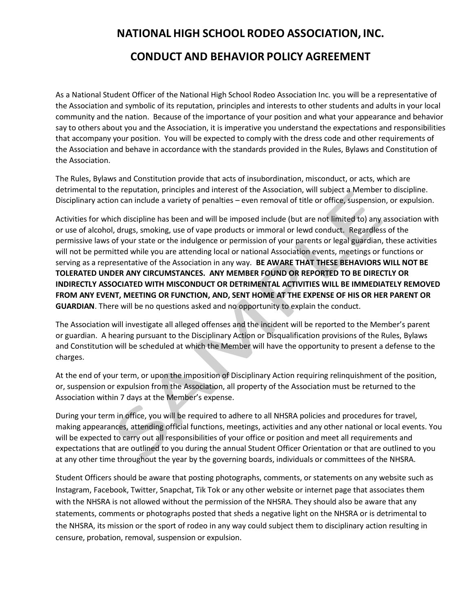# **NATIONAL HIGH SCHOOL RODEO ASSOCIATION, INC. CONDUCT AND BEHAVIOR POLICY AGREEMENT**

As a National Student Officer of the National High School Rodeo Association Inc. you will be a representative of the Association and symbolic of its reputation, principles and interests to other students and adults in your local community and the nation. Because of the importance of your position and what your appearance and behavior say to others about you and the Association, it is imperative you understand the expectations and responsibilities that accompany your position. You will be expected to comply with the dress code and other requirements of the Association and behave in accordance with the standards provided in the Rules, Bylaws and Constitution of the Association.

The Rules, Bylaws and Constitution provide that acts of insubordination, misconduct, or acts, which are detrimental to the reputation, principles and interest of the Association, will subject a Member to discipline. Disciplinary action can include a variety of penalties – even removal of title or office, suspension, or expulsion.

Activities for which discipline has been and will be imposed include (but are not limited to) any association with or use of alcohol, drugs, smoking, use of vape products or immoral or lewd conduct. Regardless of the permissive laws of your state or the indulgence or permission of your parents or legal guardian, these activities will not be permitted while you are attending local or national Association events, meetings or functions or serving as a representative of the Association in any way. **BE AWARE THAT THESE BEHAVIORS WILL NOT BE TOLERATED UNDER ANY CIRCUMSTANCES. ANY MEMBER FOUND OR REPORTED TO BE DIRECTLY OR INDIRECTLY ASSOCIATED WITH MISCONDUCT OR DETRIMENTAL ACTIVITIES WILL BE IMMEDIATELY REMOVED FROM ANY EVENT, MEETING OR FUNCTION, AND, SENT HOME AT THE EXPENSE OF HIS OR HER PARENT OR GUARDIAN**. There will be no questions asked and no opportunity to explain the conduct.

The Association will investigate all alleged offenses and the incident will be reported to the Member's parent or guardian. A hearing pursuant to the Disciplinary Action or Disqualification provisions of the Rules, Bylaws and Constitution will be scheduled at which the Member will have the opportunity to present a defense to the charges.

At the end of your term, or upon the imposition of Disciplinary Action requiring relinquishment of the position, or, suspension or expulsion from the Association, all property of the Association must be returned to the Association within 7 days at the Member's expense.

During your term in office, you will be required to adhere to all NHSRA policies and procedures for travel, making appearances, attending official functions, meetings, activities and any other national or local events. You will be expected to carry out all responsibilities of your office or position and meet all requirements and expectations that are outlined to you during the annual Student Officer Orientation or that are outlined to you at any other time throughout the year by the governing boards, individuals or committees of the NHSRA.

Student Officers should be aware that posting photographs, comments, or statements on any website such as Instagram, Facebook, Twitter, Snapchat, Tik Tok or any other website or internet page that associates them with the NHSRA is not allowed without the permission of the NHSRA. They should also be aware that any statements, comments or photographs posted that sheds a negative light on the NHSRA or is detrimental to the NHSRA, its mission or the sport of rodeo in any way could subject them to disciplinary action resulting in censure, probation, removal, suspension or expulsion.